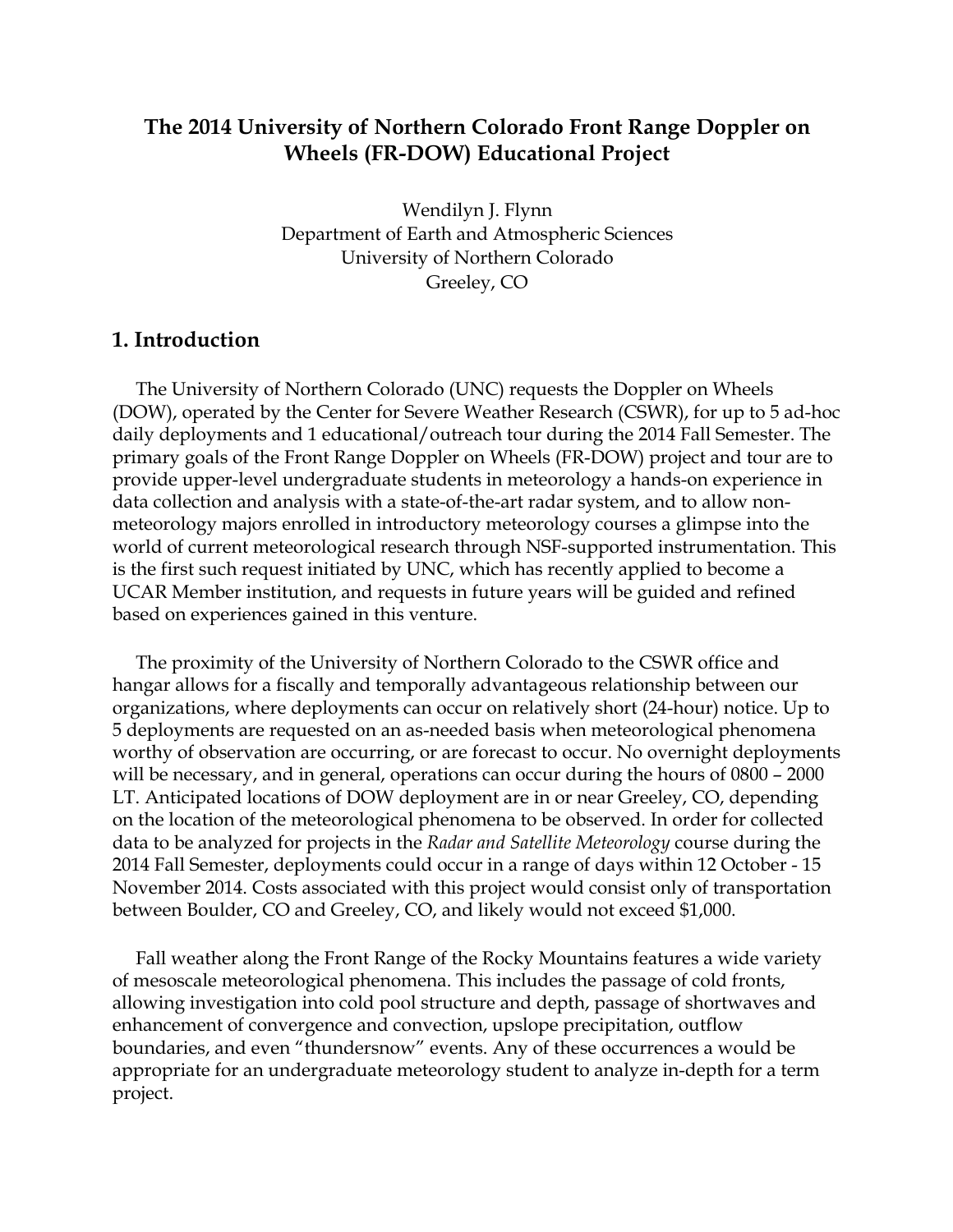### **The 2014 University of Northern Colorado Front Range Doppler on Wheels (FR-DOW) Educational Project**

Wendilyn J. Flynn Department of Earth and Atmospheric Sciences University of Northern Colorado Greeley, CO

#### **1. Introduction**

 The University of Northern Colorado (UNC) requests the Doppler on Wheels (DOW), operated by the Center for Severe Weather Research (CSWR), for up to 5 ad-hoc daily deployments and 1 educational/outreach tour during the 2014 Fall Semester. The primary goals of the Front Range Doppler on Wheels (FR-DOW) project and tour are to provide upper-level undergraduate students in meteorology a hands-on experience in data collection and analysis with a state-of-the-art radar system, and to allow nonmeteorology majors enrolled in introductory meteorology courses a glimpse into the world of current meteorological research through NSF-supported instrumentation. This is the first such request initiated by UNC, which has recently applied to become a UCAR Member institution, and requests in future years will be guided and refined based on experiences gained in this venture.

 The proximity of the University of Northern Colorado to the CSWR office and hangar allows for a fiscally and temporally advantageous relationship between our organizations, where deployments can occur on relatively short (24-hour) notice. Up to 5 deployments are requested on an as-needed basis when meteorological phenomena worthy of observation are occurring, or are forecast to occur. No overnight deployments will be necessary, and in general, operations can occur during the hours of 0800 – 2000 LT. Anticipated locations of DOW deployment are in or near Greeley, CO, depending on the location of the meteorological phenomena to be observed. In order for collected data to be analyzed for projects in the *Radar and Satellite Meteorology* course during the 2014 Fall Semester, deployments could occur in a range of days within 12 October - 15 November 2014. Costs associated with this project would consist only of transportation between Boulder, CO and Greeley, CO, and likely would not exceed \$1,000.

 Fall weather along the Front Range of the Rocky Mountains features a wide variety of mesoscale meteorological phenomena. This includes the passage of cold fronts, allowing investigation into cold pool structure and depth, passage of shortwaves and enhancement of convergence and convection, upslope precipitation, outflow boundaries, and even "thundersnow" events. Any of these occurrences a would be appropriate for an undergraduate meteorology student to analyze in-depth for a term project.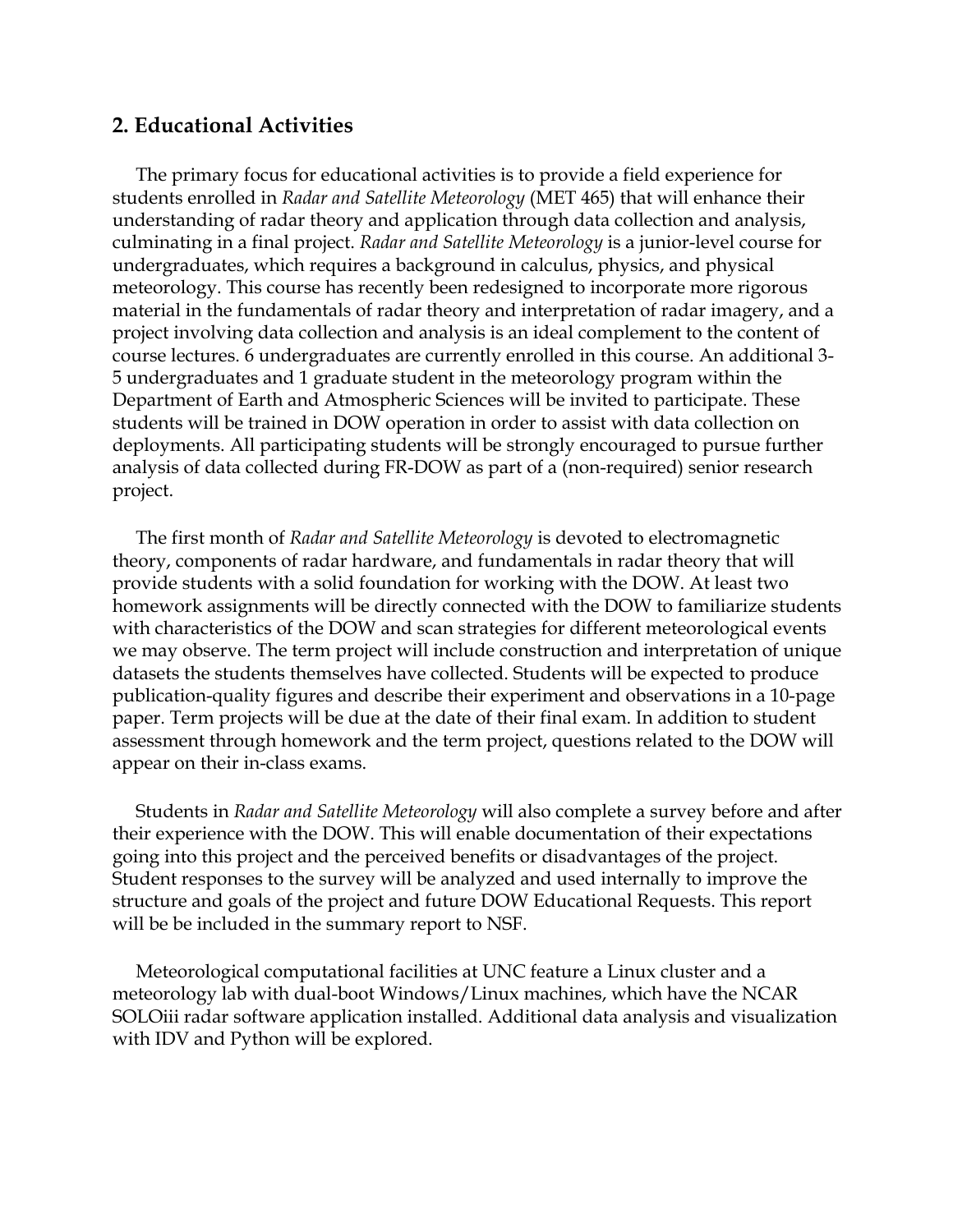#### **2. Educational Activities**

 The primary focus for educational activities is to provide a field experience for students enrolled in *Radar and Satellite Meteorology* (MET 465) that will enhance their understanding of radar theory and application through data collection and analysis, culminating in a final project. *Radar and Satellite Meteorology* is a junior-level course for undergraduates, which requires a background in calculus, physics, and physical meteorology. This course has recently been redesigned to incorporate more rigorous material in the fundamentals of radar theory and interpretation of radar imagery, and a project involving data collection and analysis is an ideal complement to the content of course lectures. 6 undergraduates are currently enrolled in this course. An additional 3- 5 undergraduates and 1 graduate student in the meteorology program within the Department of Earth and Atmospheric Sciences will be invited to participate. These students will be trained in DOW operation in order to assist with data collection on deployments. All participating students will be strongly encouraged to pursue further analysis of data collected during FR-DOW as part of a (non-required) senior research project.

 The first month of *Radar and Satellite Meteorology* is devoted to electromagnetic theory, components of radar hardware, and fundamentals in radar theory that will provide students with a solid foundation for working with the DOW. At least two homework assignments will be directly connected with the DOW to familiarize students with characteristics of the DOW and scan strategies for different meteorological events we may observe. The term project will include construction and interpretation of unique datasets the students themselves have collected. Students will be expected to produce publication-quality figures and describe their experiment and observations in a 10-page paper. Term projects will be due at the date of their final exam. In addition to student assessment through homework and the term project, questions related to the DOW will appear on their in-class exams.

 Students in *Radar and Satellite Meteorology* will also complete a survey before and after their experience with the DOW. This will enable documentation of their expectations going into this project and the perceived benefits or disadvantages of the project. Student responses to the survey will be analyzed and used internally to improve the structure and goals of the project and future DOW Educational Requests. This report will be be included in the summary report to NSF.

 Meteorological computational facilities at UNC feature a Linux cluster and a meteorology lab with dual-boot Windows/Linux machines, which have the NCAR SOLOiii radar software application installed. Additional data analysis and visualization with IDV and Python will be explored.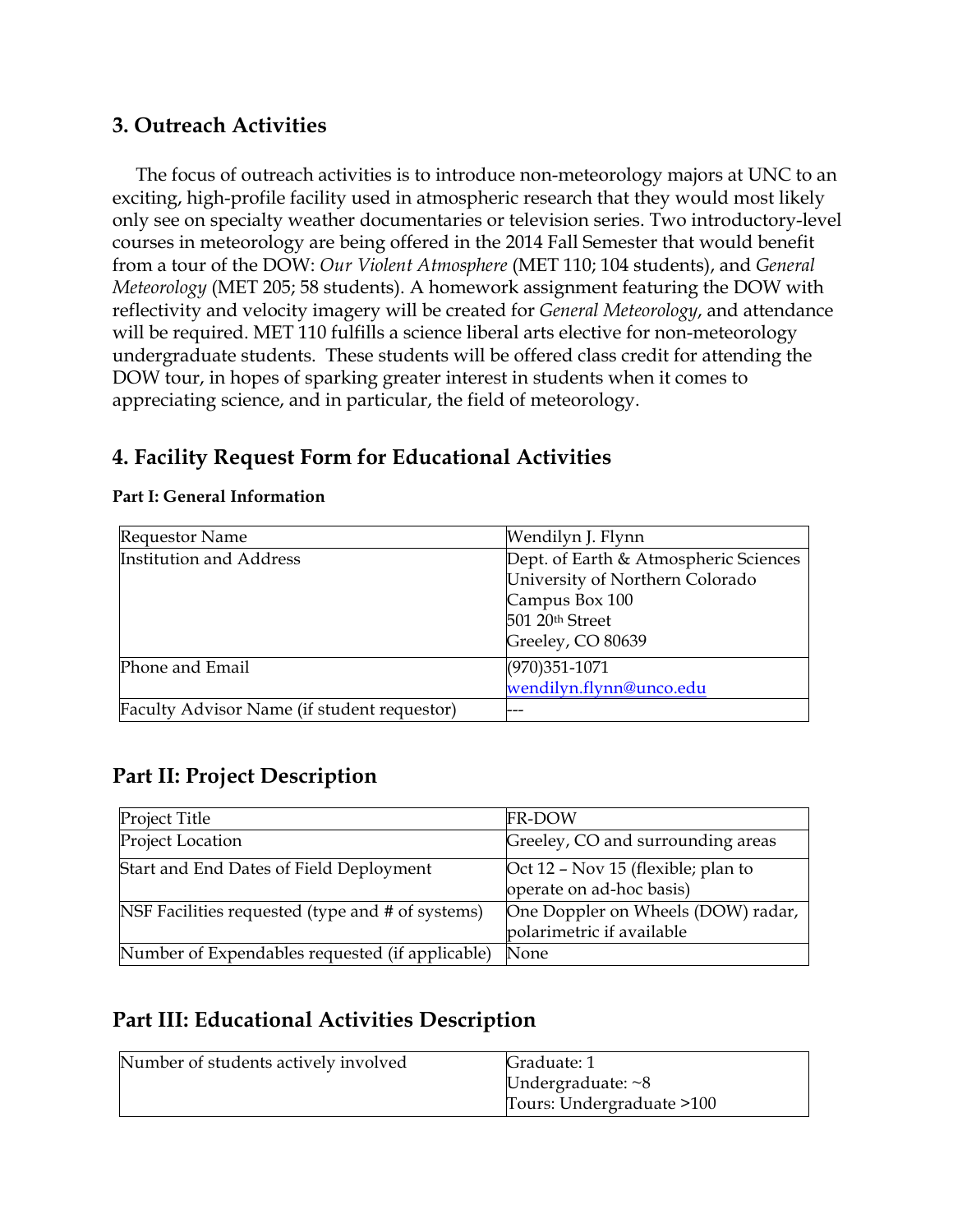### **3. Outreach Activities**

 The focus of outreach activities is to introduce non-meteorology majors at UNC to an exciting, high-profile facility used in atmospheric research that they would most likely only see on specialty weather documentaries or television series. Two introductory-level courses in meteorology are being offered in the 2014 Fall Semester that would benefit from a tour of the DOW: *Our Violent Atmosphere* (MET 110; 104 students), and *General Meteorology* (MET 205; 58 students). A homework assignment featuring the DOW with reflectivity and velocity imagery will be created for *General Meteorology*, and attendance will be required. MET 110 fulfills a science liberal arts elective for non-meteorology undergraduate students. These students will be offered class credit for attending the DOW tour, in hopes of sparking greater interest in students when it comes to appreciating science, and in particular, the field of meteorology.

# **4. Facility Request Form for Educational Activities**

| <b>Requestor Name</b>                       | Wendilyn J. Flynn                                                                                                                  |
|---------------------------------------------|------------------------------------------------------------------------------------------------------------------------------------|
| <b>Institution and Address</b>              | Dept. of Earth & Atmospheric Sciences<br>University of Northern Colorado<br>Campus Box 100<br>501 20th Street<br>Greeley, CO 80639 |
| Phone and Email                             | $(970)351 - 1071$<br>wendilyn.flynn@unco.edu                                                                                       |
| Faculty Advisor Name (if student requestor) |                                                                                                                                    |

#### **Part I: General Information**

# **Part II: Project Description**

| Project Title                                    | <b>FR-DOW</b>                                                   |
|--------------------------------------------------|-----------------------------------------------------------------|
| Project Location                                 | Greeley, CO and surrounding areas                               |
| Start and End Dates of Field Deployment          | Oct 12 – Nov 15 (flexible; plan to<br>operate on ad-hoc basis)  |
| NSF Facilities requested (type and # of systems) | One Doppler on Wheels (DOW) radar,<br>polarimetric if available |
| Number of Expendables requested (if applicable)  | None                                                            |

## **Part III: Educational Activities Description**

| Number of students actively involved | Graduate: 1               |
|--------------------------------------|---------------------------|
|                                      | Undergraduate: $~8$       |
|                                      | Tours: Undergraduate >100 |